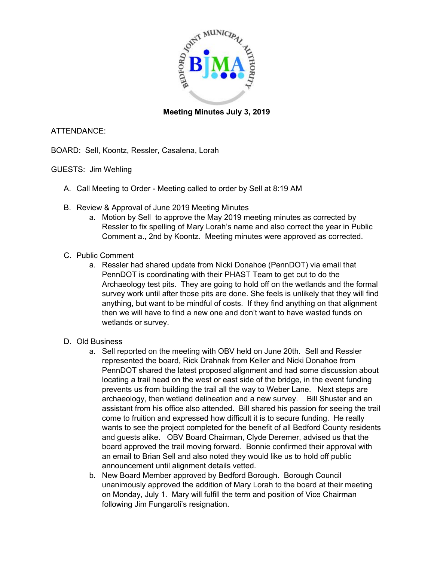

## **Meeting Minutes July 3, 2019**

### ATTENDANCE:

BOARD: Sell, Koontz, Ressler, Casalena, Lorah

### GUESTS: Jim Wehling

- A. Call Meeting to Order Meeting called to order by Sell at 8:19 AM
- B. Review & Approval of June 2019 Meeting Minutes
	- a. Motion by Sell to approve the May 2019 meeting minutes as corrected by Ressler to fix spelling of Mary Lorah's name and also correct the year in Public Comment a., 2nd by Koontz. Meeting minutes were approved as corrected.
- C. Public Comment
	- a. Ressler had shared update from Nicki Donahoe (PennDOT) via email that PennDOT is coordinating with their PHAST Team to get out to do the Archaeology test pits. They are going to hold off on the wetlands and the formal survey work until after those pits are done. She feels is unlikely that they will find anything, but want to be mindful of costs. If they find anything on that alignment then we will have to find a new one and don't want to have wasted funds on wetlands or survey.
- D. Old Business
	- a. Sell reported on the meeting with OBV held on June 20th. Sell and Ressler represented the board, Rick Drahnak from Keller and Nicki Donahoe from PennDOT shared the latest proposed alignment and had some discussion about locating a trail head on the west or east side of the bridge, in the event funding prevents us from building the trail all the way to Weber Lane. Next steps are archaeology, then wetland delineation and a new survey. Bill Shuster and an assistant from his office also attended. Bill shared his passion for seeing the trail come to fruition and expressed how difficult it is to secure funding. He really wants to see the project completed for the benefit of all Bedford County residents and guests alike. OBV Board Chairman, Clyde Deremer, advised us that the board approved the trail moving forward. Bonnie confirmed their approval with an email to Brian Sell and also noted they would like us to hold off public announcement until alignment details vetted.
	- b. New Board Member approved by Bedford Borough. Borough Council unanimously approved the addition of Mary Lorah to the board at their meeting on Monday, July 1. Mary will fulfill the term and position of Vice Chairman following Jim Fungaroli's resignation.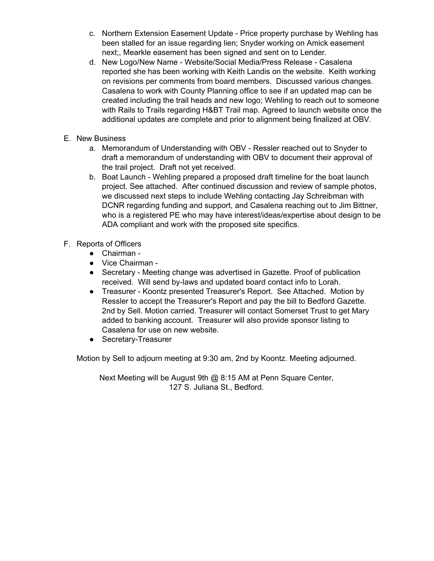- c. Northern Extension Easement Update Price property purchase by Wehling has been stalled for an issue regarding lien; Snyder working on Amick easement next;, Mearkle easement has been signed and sent on to Lender.
- d. New Logo/New Name Website/Social Media/Press Release Casalena reported she has been working with Keith Landis on the website. Keith working on revisions per comments from board members. Discussed various changes. Casalena to work with County Planning office to see if an updated map can be created including the trail heads and new logo; Wehling to reach out to someone with Rails to Trails regarding H&BT Trail map. Agreed to launch website once the additional updates are complete and prior to alignment being finalized at OBV.
- E. New Business
	- a. Memorandum of Understanding with OBV Ressler reached out to Snyder to draft a memorandum of understanding with OBV to document their approval of the trail project. Draft not yet received.
	- b. Boat Launch Wehling prepared a proposed draft timeline for the boat launch project. See attached. After continued discussion and review of sample photos, we discussed next steps to include Wehling contacting Jay Schreibman with DCNR regarding funding and support, and Casalena reaching out to Jim Bittner, who is a registered PE who may have interest/ideas/expertise about design to be ADA compliant and work with the proposed site specifics.
- F. Reports of Officers
	- Chairman -
	- Vice Chairman -
	- Secretary Meeting change was advertised in Gazette. Proof of publication received. Will send by-laws and updated board contact info to Lorah.
	- Treasurer Koontz presented Treasurer's Report. See Attached. Motion by Ressler to accept the Treasurer's Report and pay the bill to Bedford Gazette. 2nd by Sell. Motion carried. Treasurer will contact Somerset Trust to get Mary added to banking account. Treasurer will also provide sponsor listing to Casalena for use on new website.
	- Secretary-Treasurer

Motion by Sell to adjourn meeting at 9:30 am, 2nd by Koontz. Meeting adjourned.

Next Meeting will be August 9th @ 8:15 AM at Penn Square Center, 127 S. Juliana St., Bedford.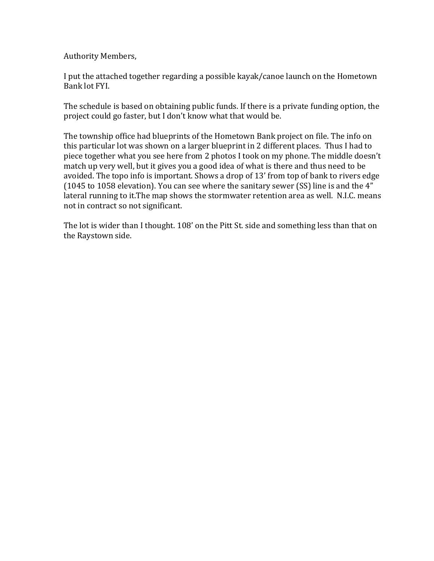Authority Members,

I put the attached together regarding a possible kayak/canoe launch on the Hometown Bank lot FYI.

The schedule is based on obtaining public funds. If there is a private funding option, the project could go faster, but I don't know what that would be.

The township office had blueprints of the Hometown Bank project on file. The info on this particular lot was shown on a larger blueprint in 2 different places. Thus I had to piece together what you see here from 2 photos I took on my phone. The middle doesn't match up very well, but it gives you a good idea of what is there and thus need to be avoided. The topo info is important. Shows a drop of 13' from top of bank to rivers edge (1045 to 1058 elevation). You can see where the sanitary sewer (SS) line is and the 4" lateral running to it.The map shows the stormwater retention area as well. N.I.C. means not in contract so not significant.

The lot is wider than I thought. 108' on the Pitt St. side and something less than that on the Raystown side.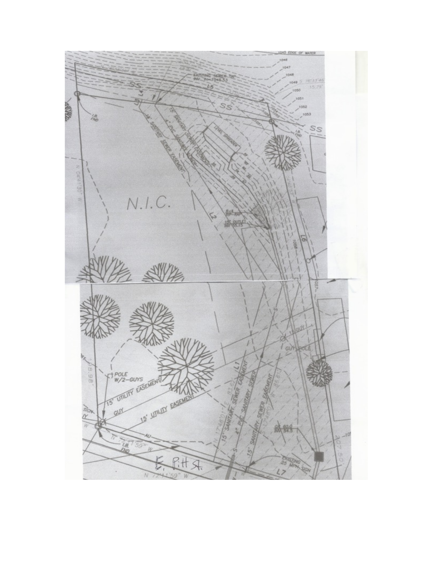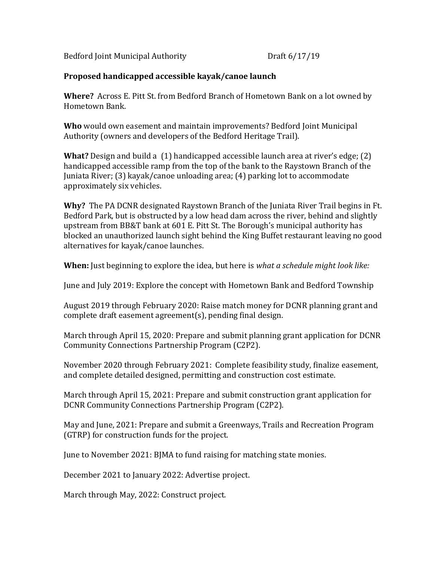Bedford Joint Municipal Authority Draft 6/17/19

# Proposed handicapped accessible kayak/canoe launch

Where? Across E. Pitt St. from Bedford Branch of Hometown Bank on a lot owned by Hometown Bank.

Who would own easement and maintain improvements? Bedford Joint Municipal Authority (owners and developers of the Bedford Heritage Trail).

What? Design and build a (1) handicapped accessible launch area at river's edge; (2) handicapped accessible ramp from the top of the bank to the Raystown Branch of the Juniata River; (3) kayak/canoe unloading area; (4) parking lot to accommodate approximately six vehicles.

Why? The PA DCNR designated Raystown Branch of the Juniata River Trail begins in Ft. Bedford Park, but is obstructed by a low head dam across the river, behind and slightly upstream from BB&T bank at 601 E. Pitt St. The Borough's municipal authority has blocked an unauthorized launch sight behind the King Buffet restaurant leaving no good alternatives for kayak/canoe launches.

When: Just beginning to explore the idea, but here is what a schedule might look like:

June and July 2019: Explore the concept with Hometown Bank and Bedford Township

August 2019 through February 2020: Raise match money for DCNR planning grant and complete draft easement agreement(s), pending final design.

March through April 15, 2020: Prepare and submit planning grant application for DCNR Community Connections Partnership Program (C2P2).

November 2020 through February 2021: Complete feasibility study, finalize easement, and complete detailed designed, permitting and construction cost estimate.

March through April 15, 2021: Prepare and submit construction grant application for DCNR Community Connections Partnership Program (C2P2).

May and June, 2021: Prepare and submit a Greenways, Trails and Recreation Program (GTRP) for construction funds for the project.

June to November 2021: BJMA to fund raising for matching state monies.

December 2021 to January 2022: Advertise project.

March through May, 2022: Construct project.